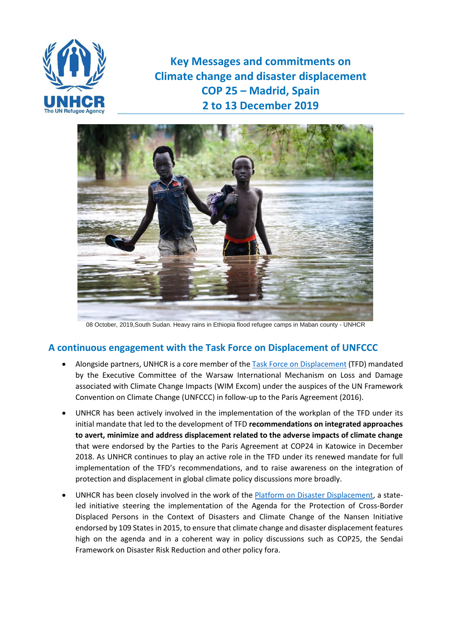

**Key Messages and commitments on Climate change and disaster displacement COP 25 – Madrid, Spain 2 to 13 December 2019**



08 October, 2019,South Sudan. Heavy rains in Ethiopia flood refugee camps in Maban county - UNHCR

### **A continuous engagement with the Task Force on Displacement of UNFCCC**

- Alongside partners, UNHCR is a core member of the [Task Force on Displacement](https://unfccc.int/wim-excom/sub-groups/TFD) (TFD) mandated by the Executive Committee of the Warsaw International Mechanism on Loss and Damage associated with Climate Change Impacts (WIM Excom) under the auspices of the UN Framework Convention on Climate Change (UNFCCC) in follow-up to the Paris Agreement (2016).
- UNHCR has been actively involved in the implementation of the workplan of the TFD under its initial mandate that led to the development of TFD **recommendations on integrated approaches to avert, minimize and address displacement related to the adverse impacts of climate change** that were endorsed by the Parties to the Paris Agreement at COP24 in Katowice in December 2018. As UNHCR continues to play an active role in the TFD under its renewed mandate for full implementation of the TFD's recommendations, and to raise awareness on the integration of protection and displacement in global climate policy discussions more broadly.
- UNHCR has been closely involved in the work of the [Platform on Disaster Displacement,](http://disasterdisplacement.org/) a stateled initiative steering the implementation of the Agenda for the Protection of Cross-Border Displaced Persons in the Context of Disasters and Climate Change of the Nansen Initiative endorsed by 109 States in 2015, to ensure that climate change and disaster displacement features high on the agenda and in a coherent way in policy discussions such as COP25, the Sendai Framework on Disaster Risk Reduction and other policy fora.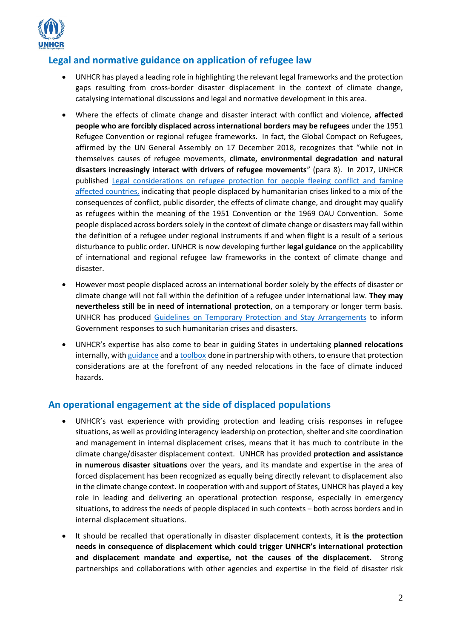

# **Legal and normative guidance on application of refugee law**

- UNHCR has played a leading role in highlighting the relevant legal frameworks and the protection gaps resulting from cross-border disaster displacement in the context of climate change, catalysing international discussions and legal and normative development in this area.
- Where the effects of climate change and disaster interact with conflict and violence, **affected people who are forcibly displaced across international borders may be refugees** under the 1951 Refugee Convention or regional refugee frameworks. In fact, the Global Compact on Refugees, affirmed by the UN General Assembly on 17 December 2018, recognizes that "while not in themselves causes of refugee movements, **climate, environmental degradation and natural disasters increasingly interact with drivers of refugee movements**" (para 8). In 2017, UNHCR published [Legal considerations on refugee protection for people fleeing conflict and famine](https://www.refworld.org/docid/5906e0824.html)  [affected countries,](https://www.refworld.org/docid/5906e0824.html) indicating that people displaced by humanitarian crises linked to a mix of the consequences of conflict, public disorder, the effects of climate change, and drought may qualify as refugees within the meaning of the 1951 Convention or the 1969 OAU Convention. Some people displaced across borders solely in the context of climate change or disasters may fall within the definition of a refugee under regional instruments if and when flight is a result of a serious disturbance to public order. UNHCR is now developing further **legal guidance** on the applicability of international and regional refugee law frameworks in the context of climate change and disaster.
- However most people displaced across an international border solely by the effects of disaster or climate change will not fall within the definition of a refugee under international law. **They may nevertheless still be in need of international protection**, on a temporary or longer term basis. UNHCR has produced [Guidelines on Temporary Protection and Stay Arrangements](file://///SWIGEFIL101/Users/BISHOPE/COP25/UNHCR%20undertakes%20research%20to%20improve%20understanding%20of%20international%20protection,%20climate%20change%20and%20disaster%20displacement%20to%20help%20States%20to%20respond%20to%20related%20challenges.) to inform Government responses to such humanitarian crises and disasters.
- UNHCR's expertise has also come to bear in guiding States in undertaking **planned relocations** internally, wit[h guidance](https://www.unhcr.org/protection/environment/562f798d9/planned-relocation-guidance-october-2015.html) and [a toolbox](https://www.unhcr.org/protection/environment/596f1bb47/planned-relocation-toolbox.html) done in partnership with others, to ensure that protection considerations are at the forefront of any needed relocations in the face of climate induced hazards.

# **An operational engagement at the side of displaced populations**

- UNHCR's vast experience with providing protection and leading crisis responses in refugee situations, as well as providing interagency leadership on protection, shelter and site coordination and management in internal displacement crises, means that it has much to contribute in the climate change/disaster displacement context. UNHCR has provided **protection and assistance in numerous disaster situations** over the years, and its mandate and expertise in the area of forced displacement has been recognized as equally being directly relevant to displacement also in the climate change context. In cooperation with and support of States, UNHCR has played a key role in leading and delivering an operational protection response, especially in emergency situations, to address the needs of people displaced in such contexts – both across borders and in internal displacement situations.
- It should be recalled that operationally in disaster displacement contexts, **it is the protection needs in consequence of displacement which could trigger UNHCR's international protection and displacement mandate and expertise, not the causes of the displacement.** Strong partnerships and collaborations with other agencies and expertise in the field of disaster risk